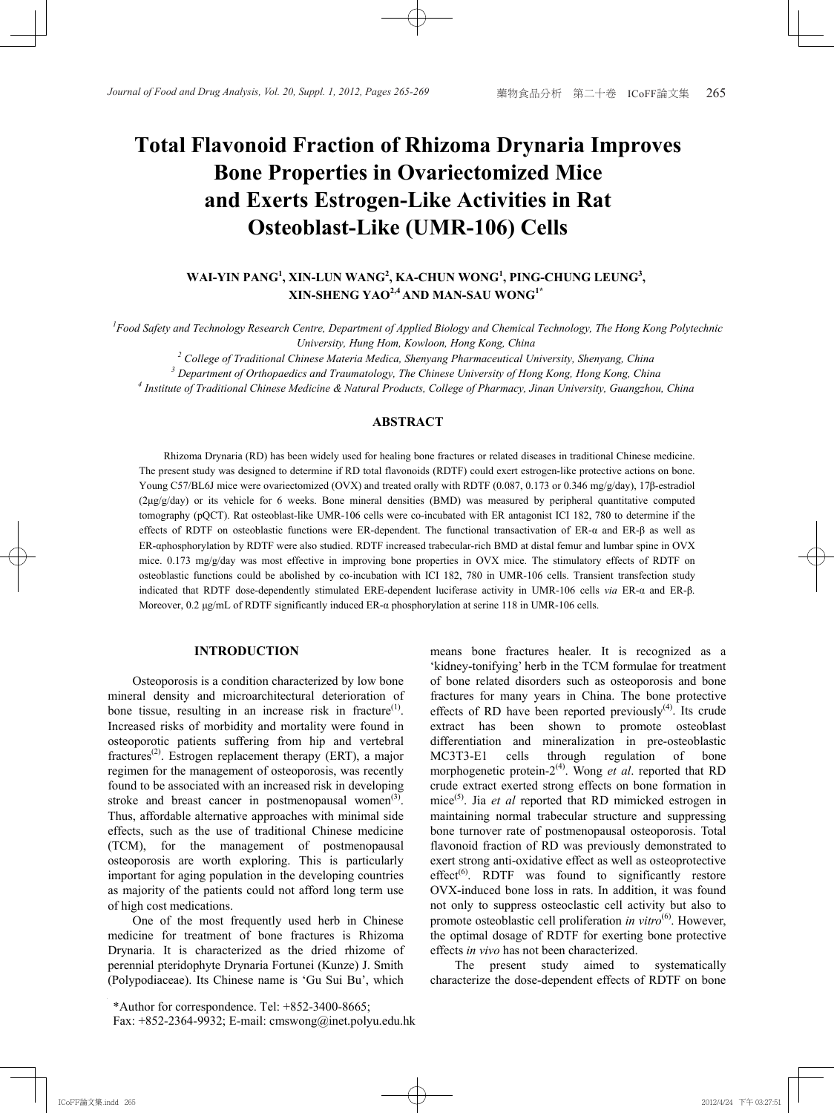# **Total Flavonoid Fraction of Rhizoma Drynaria Improves Bone Properties in Ovariectomized Mice and Exerts Estrogen-Like Activities in Rat Osteoblast-Like (UMR-106) Cells Osteoblast-Like (UMR-106) Cells Total Flavonoid Fraction of Rhizoma Drynaria Improves Bone Properties In Overland Michelle Michelle Properties In Properties In Properties In Properties In Propertie**

## $WAI-YIN PANG<sup>1</sup>, XIN-LUN WANG<sup>2</sup>, KA-CHUN WONG<sup>1</sup>, PING-CHUNG LEUNG<sup>3</sup>,$ **XIN-SHENG YAO2,4 AND MAN-SAU WONG1\***

<sup>1</sup> Food Safety and Technology Research Centre, Department of Applied Biology and Chemical Technology, The Hong Kong Polytechnic *University, Hung Hom, Kowloon, Hong Kong, China 2 Chiversity, Hung Hom, Kowloon, Hong Kong, China* 

<sup>2</sup> College of Traditional Chinese Materia Medica, Shenyang Pharmaceutical University, Shenyang, China <sup>3</sup> Department of Orthopaedics and Traumatology, The Chinese University of Hong Kong, Hong Kong, China

<sup>3</sup> Department of Orthopaedics and Traumatology, The Chinese University of Hong Kong, Hong Kong, China<br><sup>4</sup> Institute of Traditional Chinese Medicine & Natural Products College of Pharmacy, Jinan University Guangzhou, China

 *Institute of Traditional Chinese Medicine & Natural Products, College of Pharmacy, Jinan University, Guangzhou, China* 

## **ABSTRACT**

Rhizoma Drynaria (RD) has been widely used for healing bone fractures or related diseases in traditional Chinese medicine. The present study was designed to determine if RD total flavonoids (RDTF) could exert estrogen-like protective actions on bone. Young C57/BL6J mice were ovariectomized (OVX) and treated orally with RDTF (0.087, 0.173 or 0.346 mg/g/day), 17β-estradiol (2µg/g/day) or its vehicle for 6 weeks. Bone mineral densities (BMD) was measured by peripheral quantitative computed tomography (pQCT). Rat osteoblast-like UMR-106 cells were co-incubated with ER antagonist ICI 182, 780 to determine if the effects of RDTF on osteoblastic functions were ER-dependent. The functional transactivation of ER-α and ER-β as well as ER-aphosphorylation by RDTF were also studied. RDTF increased trabecular-rich BMD at distal femur and lumbar spine in OVX mice. 0.173 mg/g/day was most effective in improving bone properties in OVX mice. The stimulatory effects of RDTF on osteoblastic functions could be abolished by co-incubation with ICI 182, 780 in UMR-106 cells. Transient transfection study indicated that RDTF dose-dependently stimulated ERE-dependent luciferase activity in UMR-106 cells via ER-a and ER- $\beta$ . Moreover, 0.2 μg/mL of RDTF significantly induced ER-α phosphorylation at serine 118 in UMR-106 cells.

## **INTRODUCTION**

**INTRODUCTION**  mineral density and microarchitectural deterioration of bone tissue, resulting in an increase risk in fracture<sup>(1)</sup>. Increased risks of morbidity and mortality were found in osteoporotic patients suffering from hip and vertebral fractures<sup>(2)</sup>. Estrogen replacement therapy (ERT), a major regimen for the management of osteoporosis, was recently found to be associated with an increased risk in developing  $\frac{1}{2}$ stroke and breast cancer in postmenopausal women<sup>(3)</sup>. Thus, affordable alternative approaches with minimal side effects, such as the use of traditional Chinese medicine  $(TCM)$ , for the management of postmenopausal osteoporosis are worth exploring. This is particularly important for aging population in the developing countries as majority of the patients could not afford long term use of high cost medications. Osteoporosis is a condition characterized by low bone

One of the most frequently used herb in Chinese medicine for treatment of bone fractures is Rhizoma Drynaria. It is characterized as the dried rhizome of perennial pteridophyte Drynaria Fortunei (Kunze) J. Smith (Polypodiaceae). Its Chinese name is 'Gu Sui Bu', which

\*Author for correspondence. Tel: +852-3400-8665; Fax: +852-2364-9932; E-mail: cmswong@inet.polyu.edu.hk

'kidney-tonifying' herb in the TCM formulae for treatment of bone related disorders such as osteoporosis and bone fractures for many years in China. The bone protective effects of RD have been reported previously<sup>(4)</sup>. Its crude extract has been shown to promote osteoblast differentiation and mineralization in pre-osteoblastic  $MCS13-E1$  cells through regulation of bone morphogenetic protein-2<sup>(4)</sup>. Wong *et al.* reported that RD crude extract exerted strong effects on bone formation in mice<sup>(5)</sup>. Jia *et al* reported that RD mimicked estrogen in maintaining normal trabecular structure and suppressing bone turnover rate of postmenopausal osteoporosis. Total flavonoid fraction of RD was previously demonstrated to exert strong anti-oxidative effect as well as osteoprotective  $effect<sup>(6)</sup>$ . RDTF was found to significantly restore OVX-induced bone loss in rats. In addition, it was found not only to suppress osteoclastic cell activity but also to promote osteoblastic cell proliferation *in vitro*<sup>(6)</sup>. However, the optimal dosage of RDTF for exerting bone protective effects *in vivo* has not been characterized. means bone fractures healer. It is recognized as a MC3T3-E1 cells through regulation of bone

The present study characterize the dose-dependent effects of RDTF on bone aimed to systematically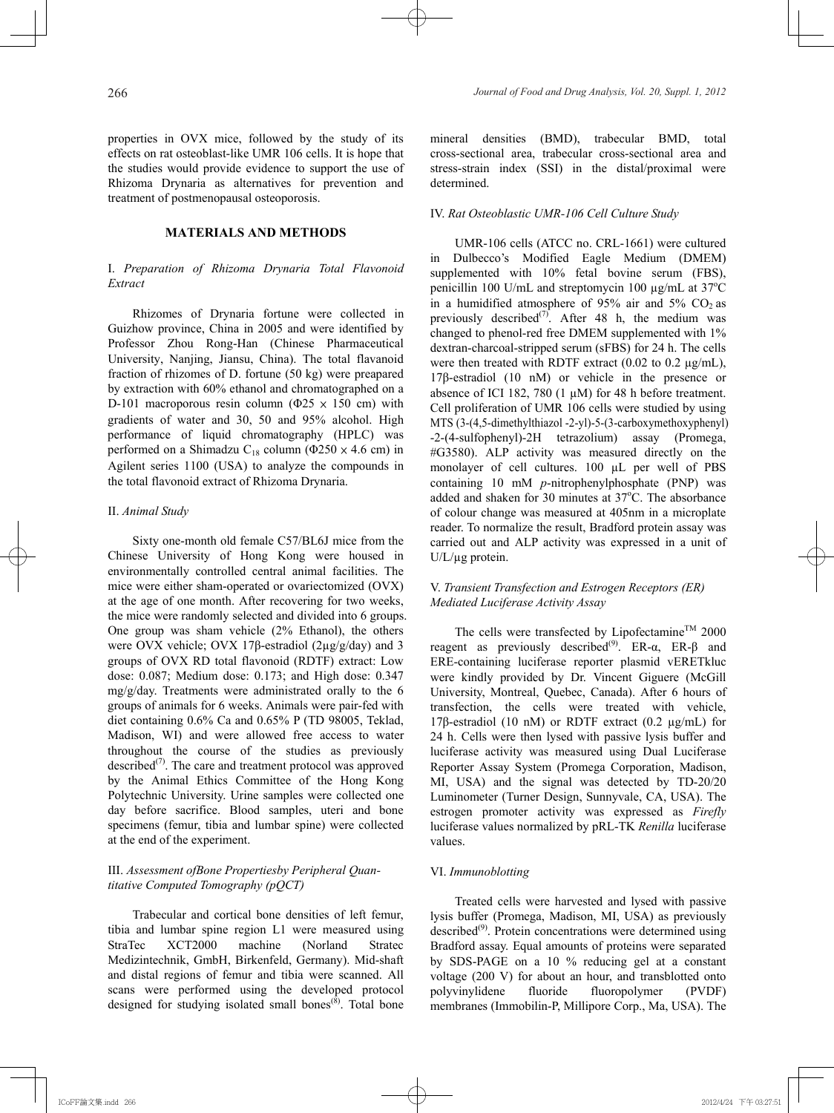properties in OVX mice, followed by the study of its effects on rat osteoblast-like UMR 106 cells. It is hope that the studies would provide evidence to support the use of Rhizoma Drynaria as alternatives for prevention and treatment of postmenopausal osteoporosis.

## **MATERIALS AND METHODS**

## I. *Preparation of Rhizoma Drynaria Total Flavonoid Extract*

Rhizomes of Drynaria fortune were collected in Guizhow province, China in 2005 and were identified by Professor Zhou Rong-Han (Chinese Pharmaceutical University, Nanjing, Jiansu, China). The total flavanoid fraction of rhizomes of D. fortune (50 kg) were preapared by extraction with 60% ethanol and chromatographed on a D-101 macroporous resin column ( $\Phi$ 25  $\times$  150 cm) with gradients of water and 30, 50 and 95% alcohol. High performance of liquid chromatography (HPLC) was performed on a Shimadzu C<sub>18</sub> column ( $\Phi$ 250 × 4.6 cm) in Agilent series 1100 (USA) to analyze the compounds in the total flavonoid extract of Rhizoma Drynaria.

## II. *Animal Study*

Sixty one-month old female C57/BL6J mice from the Chinese University of Hong Kong were housed in environmentally controlled central animal facilities. The mice were either sham-operated or ovariectomized (OVX) at the age of one month. After recovering for two weeks, the mice were randomly selected and divided into 6 groups. One group was sham vehicle (2% Ethanol), the others were OVX vehicle; OVX 17β-estradiol (2µg/g/day) and 3 groups of OVX RD total flavonoid (RDTF) extract: Low dose: 0.087; Medium dose: 0.173; and High dose: 0.347 mg/g/day. Treatments were administrated orally to the 6 groups of animals for 6 weeks. Animals were pair-fed with diet containing 0.6% Ca and 0.65% P (TD 98005, Teklad, Madison, WI) and were allowed free access to water throughout the course of the studies as previously described $^{(7)}$ . The care and treatment protocol was approved by the Animal Ethics Committee of the Hong Kong Polytechnic University. Urine samples were collected one day before sacrifice. Blood samples, uteri and bone specimens (femur, tibia and lumbar spine) were collected at the end of the experiment.

## III. *Assessment ofBone Propertiesby Peripheral Quantitative Computed Tomography (pQCT)*

Trabecular and cortical bone densities of left femur, tibia and lumbar spine region L1 were measured using StraTec XCT2000 machine (Norland Stratec Medizintechnik, GmbH, Birkenfeld, Germany). Mid-shaft and distal regions of femur and tibia were scanned. All scans were performed using the developed protocol designed for studying isolated small bones<sup> $(8)$ </sup>. Total bone mineral densities (BMD), trabecular BMD, total cross-sectional area, trabecular cross-sectional area and stress-strain index (SSI) in the distal/proximal were determined.

#### IV. *Rat Osteoblastic UMR-106 Cell Culture Study*

UMR-106 cells (ATCC no. CRL-1661) were cultured in Dulbecco's Modified Eagle Medium (DMEM) supplemented with 10% fetal bovine serum (FBS), penicillin 100 U/mL and streptomycin 100 µg/mL at 37°C in a humidified atmosphere of 95% air and 5%  $CO<sub>2</sub>$  as previously described<sup>(7)</sup>. After 48 h, the medium was changed to phenol-red free DMEM supplemented with 1% dextran-charcoal-stripped serum (sFBS) for 24 h. The cells were then treated with RDTF extract  $(0.02 \text{ to } 0.2 \text{ µg/mL})$ , 17β-estradiol (10 nM) or vehicle in the presence or absence of ICI 182, 780 (1  $\mu$ M) for 48 h before treatment. Cell proliferation of UMR 106 cells were studied by using MTS (3-(4,5-dimethylthiazol -2-yl)-5-(3-carboxymethoxyphenyl) -2-(4-sulfophenyl)-2H tetrazolium) assay (Promega, #G3580). ALP activity was measured directly on the monolayer of cell cultures. 100 µL per well of PBS containing 10 mM *p*-nitrophenylphosphate (PNP) was added and shaken for 30 minutes at 37°C. The absorbance of colour change was measured at 405nm in a microplate reader. To normalize the result, Bradford protein assay was carried out and ALP activity was expressed in a unit of U/L/µg protein.

## V. *Transient Transfection and Estrogen Receptors (ER) Mediated Luciferase Activity Assay*

The cells were transfected by Lipofectamine<sup>TM</sup> 2000 reagent as previously described<sup>(9)</sup>. ER- $\alpha$ , ER-β and ERE-containing luciferase reporter plasmid vERETkluc were kindly provided by Dr. Vincent Giguere (McGill University, Montreal, Quebec, Canada). After 6 hours of transfection, the cells were treated with vehicle, 17β-estradiol (10 nM) or RDTF extract (0.2  $\mu$ g/mL) for 24 h. Cells were then lysed with passive lysis buffer and luciferase activity was measured using Dual Luciferase Reporter Assay System (Promega Corporation, Madison, MI, USA) and the signal was detected by TD-20/20 Luminometer (Turner Design, Sunnyvale, CA, USA). The estrogen promoter activity was expressed as *Firefly* luciferase values normalized by pRL-TK *Renilla* luciferase values.

## VI. *Immunoblotting*

Treated cells were harvested and lysed with passive lysis buffer (Promega, Madison, MI, USA) as previously described<sup>(9)</sup>. Protein concentrations were determined using Bradford assay. Equal amounts of proteins were separated by SDS-PAGE on a 10 % reducing gel at a constant voltage (200 V) for about an hour, and transblotted onto polyvinylidene fluoride fluoropolymer (PVDF) membranes (Immobilin-P, Millipore Corp., Ma, USA). The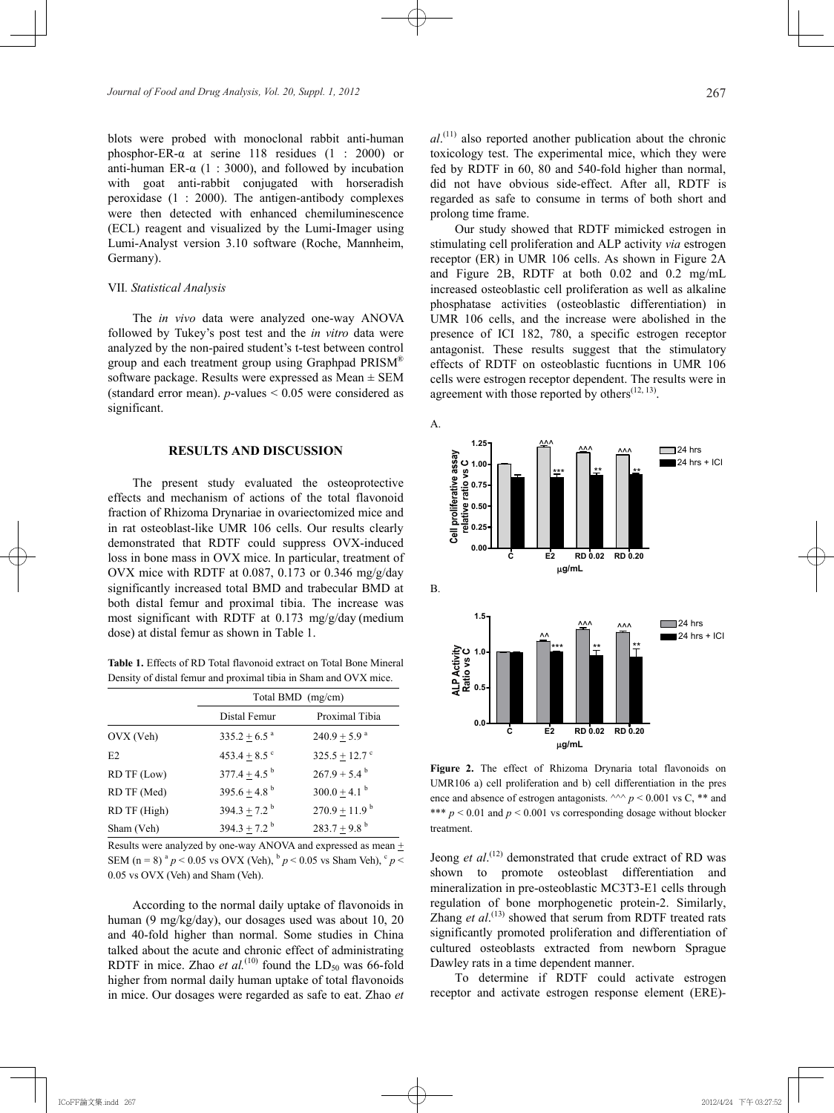blots were probed with monoclonal rabbit anti-human phosphor-ER- $\alpha$  at serine 118 residues (1 : 2000) or anti-human ER- $\alpha$  (1 : 3000), and followed by incubation with goat anti-rabbit conjugated with horseradish peroxidase (1 : 2000). The antigen-antibody complexes were then detected with enhanced chemiluminescence (ECL) reagent and visualized by the Lumi-Imager using Lumi-Analyst version 3.10 software (Roche, Mannheim, Germany).

#### VII*. Statistical Analysis*

The *in vivo* data were analyzed one-way ANOVA followed by Tukey's post test and the *in vitro* data were analyzed by the non-paired student's t-test between control group and each treatment group using Graphpad PRISM<sup>®</sup> software package. Results were expressed as Mean  $\pm$  SEM (standard error mean).  $p$ -values  $\leq 0.05$  were considered as significant.

#### **RESULTS AND DISCUSSION**

The present study evaluated the osteoprotective effects and mechanism of actions of the total flavonoid fraction of Rhizoma Drynariae in ovariectomized mice and in rat osteoblast-like UMR 106 cells. Our results clearly demonstrated that RDTF could suppress OVX-induced loss in bone mass in OVX mice. In particular, treatment of OVX mice with RDTF at 0.087, 0.173 or 0.346 mg/g/day significantly increased total BMD and trabecular BMD at both distal femur and proximal tibia. The increase was most significant with RDTF at 0.173 mg/g/day (medium dose) at distal femur as shown in Table 1.

**Table 1.** Effects of RD Total flavonoid extract on Total Bone Mineral Density of distal femur and proximal tibia in Sham and OVX mice.

|              | Total BMD (mg/cm)            |                               |
|--------------|------------------------------|-------------------------------|
|              | Distal Femur                 | Proximal Tibia                |
| OVX (Veh)    | $335.2 \pm 6.5$ <sup>a</sup> | $240.9 \pm 5.9$ <sup>a</sup>  |
| E2           | 453.4 $\pm$ 8.5 $\degree$    | $325.5 \pm 12.7$ <sup>c</sup> |
| RD TF (Low)  | $377.4 + 4.5^{b}$            | $267.9 + 5.4^{\mathrm{b}}$    |
| RD TF (Med)  | $395.6 + 4.8^{b}$            | $300.0 + 4.1$ <sup>b</sup>    |
| RD TF (High) | 394.3 $\pm$ 7.2 <sup>b</sup> | $270.9 \pm 11.9^{\mathrm{b}}$ |
| Sham (Veh)   | $394.3 + 7.2^{b}$            | $283.7 + 9.8$ <sup>b</sup>    |

Results were analyzed by one-way ANOVA and expressed as mean + SEM (n = 8)  $^{a} p$  < 0.05 vs OVX (Veh),  $^{b} p$  < 0.05 vs Sham Veh),  $^{c} p$  < 0.05 vs OVX (Veh) and Sham (Veh).

According to the normal daily uptake of flavonoids in human (9 mg/kg/day), our dosages used was about 10, 20 and 40-fold higher than normal. Some studies in China talked about the acute and chronic effect of administrating RDTF in mice. Zhao *et al.*<sup>(10)</sup> found the  $LD_{50}$  was 66-fold higher from normal daily human uptake of total flavonoids in mice. Our dosages were regarded as safe to eat. Zhao *et* 

*al*. (11) also reported another publication about the chronic toxicology test. The experimental mice, which they were fed by RDTF in 60, 80 and 540-fold higher than normal, did not have obvious side-effect. After all, RDTF is regarded as safe to consume in terms of both short and prolong time frame.

Our study showed that RDTF mimicked estrogen in stimulating cell proliferation and ALP activity *via* estrogen receptor (ER) in UMR 106 cells. As shown in Figure 2A and Figure 2B, RDTF at both 0.02 and 0.2 mg/mL increased osteoblastic cell proliferation as well as alkaline phosphatase activities (osteoblastic differentiation) in UMR 106 cells, and the increase were abolished in the presence of ICI 182, 780, a specific estrogen receptor antagonist. These results suggest that the stimulatory effects of RDTF on osteoblastic fucntions in UMR 106 cells were estrogen receptor dependent. The results were in agreement with those reported by others $(12, 13)$ .



**Figure 2.** The effect of Rhizoma Drynaria total flavonoids on UMR106 a) cell proliferation and b) cell differentiation in the pres ence and absence of estrogen antagonists.  $\wedge$   $\rangle$  *p* < 0.001 vs C, \*\* and \*\*\*  $p < 0.01$  and  $p < 0.001$  vs corresponding dosage without blocker treatment.

Jeong *et al.*<sup>(12)</sup> demonstrated that crude extract of RD was shown to promote osteoblast differentiation and mineralization in pre-osteoblastic MC3T3-E1 cells through regulation of bone morphogenetic protein-2. Similarly, Zhang *et al.*<sup>(13)</sup> showed that serum from RDTF treated rats significantly promoted proliferation and differentiation of cultured osteoblasts extracted from newborn Sprague Dawley rats in a time dependent manner.

To determine if RDTF could activate estrogen receptor and activate estrogen response element (ERE)-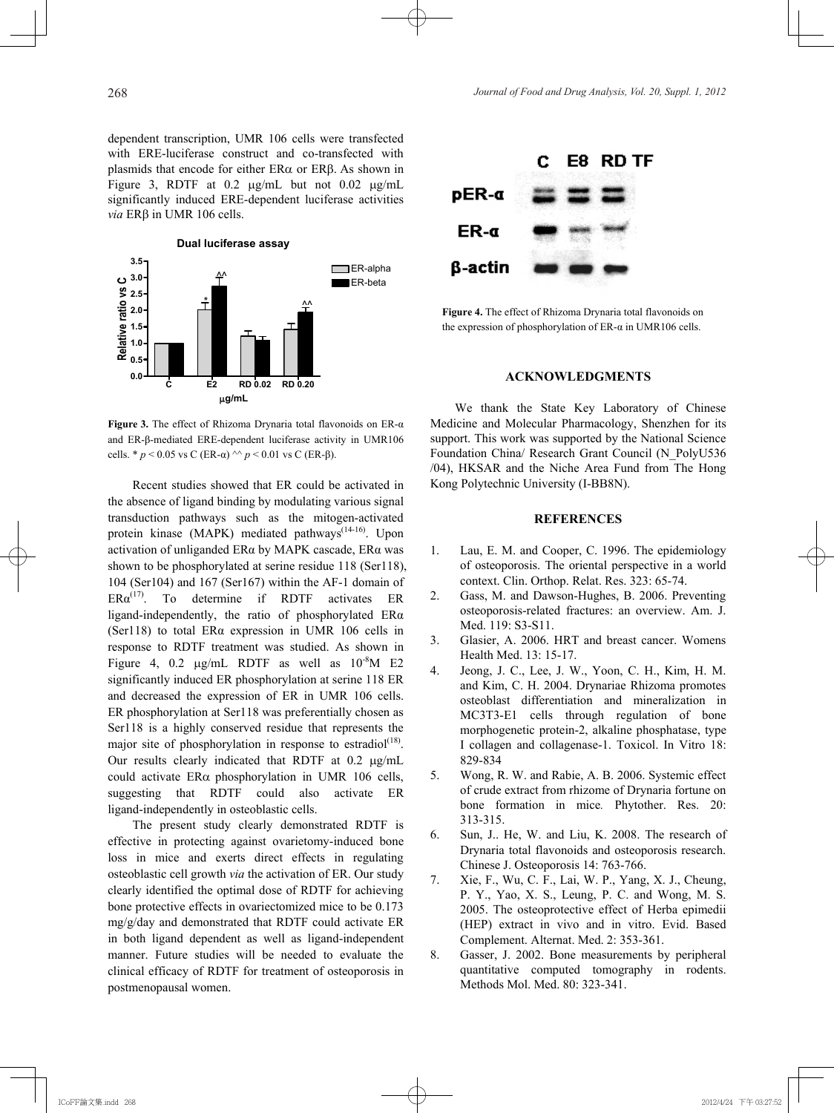dependent transcription, UMR 106 cells were transfected with ERE-luciferase construct and co-transfected with plasmids that encode for either  $ER\alpha$  or  $ER\beta$ . As shown in Figure 3, RDTF at  $0.2 \mu$ g/mL but not  $0.02 \mu$ g/mL significantly induced ERE-dependent luciferase activities *via* ERβ in UMR 106 cells.



**Figure 3.** The effect of Rhizoma Drynaria total flavonoids on ER-α and ER-β-mediated ERE-dependent luciferase activity in UMR106 cells. \* *p* < 0.05 vs C (ER-α) ^^ *p* < 0.01 vs C (ER-β).

Recent studies showed that ER could be activated in the absence of ligand binding by modulating various signal transduction pathways such as the mitogen-activated protein kinase (MAPK) mediated pathways<sup> $(14-16)$ </sup>. Upon activation of unliganded ERα by MAPK cascade, ERα was shown to be phosphorylated at serine residue 118 (Ser118), 104 (Ser104) and 167 (Ser167) within the AF-1 domain of  $ER\alpha^{(17)}$ . To determine if RDTF activates ER ligand-independently, the ratio of phosphorylated ERα (Ser118) to total ERα expression in UMR 106 cells in response to RDTF treatment was studied. As shown in Figure 4, 0.2  $\mu$ g/mL RDTF as well as  $10^{-8}$ M E2 significantly induced ER phosphorylation at serine 118 ER and decreased the expression of ER in UMR 106 cells. ER phosphorylation at Ser118 was preferentially chosen as Ser118 is a highly conserved residue that represents the major site of phosphorylation in response to estradiol $(18)$ . Our results clearly indicated that RDTF at  $0.2 \mu g/mL$ could activate  $ER\alpha$  phosphorylation in UMR 106 cells, suggesting that RDTF could also activate ER ligand-independently in osteoblastic cells.

The present study clearly demonstrated RDTF is effective in protecting against ovarietomy-induced bone loss in mice and exerts direct effects in regulating osteoblastic cell growth *via* the activation of ER. Our study clearly identified the optimal dose of RDTF for achieving bone protective effects in ovariectomized mice to be 0.173 mg/g/day and demonstrated that RDTF could activate ER in both ligand dependent as well as ligand-independent manner. Future studies will be needed to evaluate the clinical efficacy of RDTF for treatment of osteoporosis in postmenopausal women.



**Figure 4.** The effect of Rhizoma Drynaria total flavonoids on the expression of phosphorylation of ER- $\alpha$  in UMR106 cells.

## **ACKNOWLEDGMENTS**

We thank the State Key Laboratory of Chinese Medicine and Molecular Pharmacology, Shenzhen for its support. This work was supported by the National Science Foundation China/ Research Grant Council (N\_PolyU536 /04), HKSAR and the Niche Area Fund from The Hong Kong Polytechnic University (I-BB8N).

## **REFERENCES**

- 1. Lau, E. M. and Cooper, C. 1996. The epidemiology of osteoporosis. The oriental perspective in a world context. Clin. Orthop. Relat. Res. 323: 65-74.
- 2. Gass, M. and Dawson-Hughes, B. 2006. Preventing osteoporosis-related fractures: an overview. Am. J. Med. 119: S3-S11.
- 3. Glasier, A. 2006. HRT and breast cancer. Womens Health Med. 13: 15-17.
- 4. Jeong, J. C., Lee, J. W., Yoon, C. H., Kim, H. M. and Kim, C. H. 2004. Drynariae Rhizoma promotes osteoblast differentiation and mineralization in MC3T3-E1 cells through regulation of bone morphogenetic protein-2, alkaline phosphatase, type I collagen and collagenase-1. Toxicol. In Vitro 18: 829-834
- 5. Wong, R. W. and Rabie, A. B. 2006. Systemic effect of crude extract from rhizome of Drynaria fortune on bone formation in mice*.* Phytother. Res. 20: 313-315.
- 6. Sun, J.. He, W. and Liu, K. 2008. The research of Drynaria total flavonoids and osteoporosis research. Chinese J. Osteoporosis 14: 763-766.
- 7. Xie, F., Wu, C. F., Lai, W. P., Yang, X. J., Cheung, P. Y., Yao, X. S., Leung, P. C. and Wong, M. S. 2005. The osteoprotective effect of Herba epimedii (HEP) extract in vivo and in vitro. Evid. Based Complement. Alternat. Med. 2: 353-361.
- 8. Gasser, J. 2002. Bone measurements by peripheral quantitative computed tomography in rodents. Methods Mol. Med. 80: 323-341.